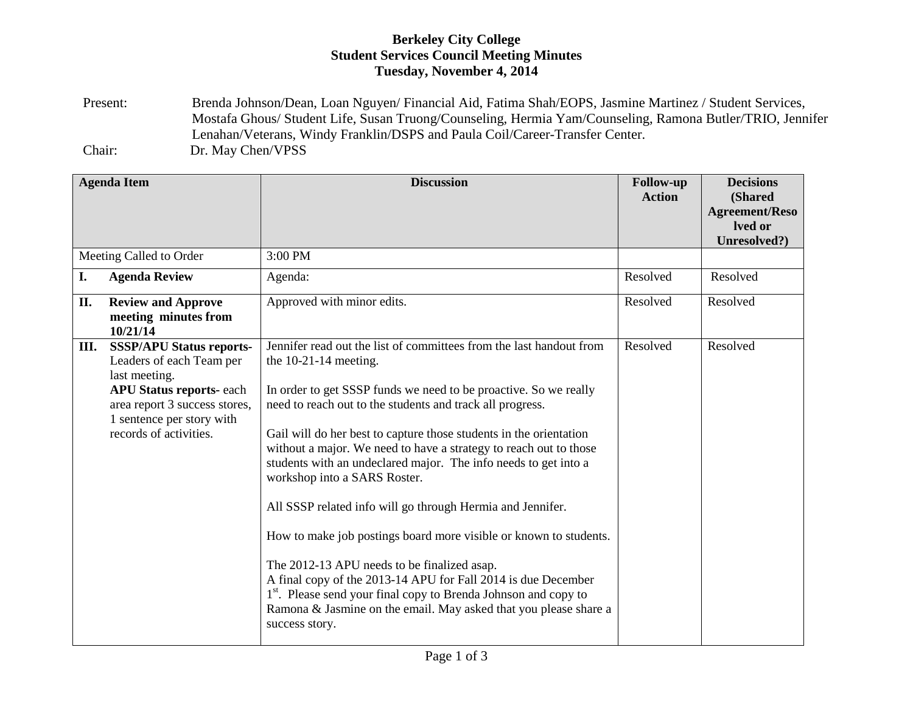## **Berkeley City College Student Services Council Meeting Minutes Tuesday, November 4, 2014**

Present: Brenda Johnson/Dean, Loan Nguyen/ Financial Aid, Fatima Shah/EOPS, Jasmine Martinez / Student Services, Mostafa Ghous/ Student Life, Susan Truong/Counseling, Hermia Yam/Counseling, Ramona Butler/TRIO, Jennifer Lenahan/Veterans, Windy Franklin/DSPS and Paula Coil/Career-Transfer Center. Chair: Dr. May Chen/VPSS

| <b>Agenda Item</b>      |                                                                                                                                                                                                        | <b>Discussion</b>                                                                                                                                                                                                                                                                                                                                                                                                                                                                                                                                                                                                                                                                                                                                                                                                                                                                                     | <b>Follow-up</b><br><b>Action</b> | <b>Decisions</b><br>(Shared<br><b>Agreement/Reso</b><br>lved or<br>Unresolved?) |
|-------------------------|--------------------------------------------------------------------------------------------------------------------------------------------------------------------------------------------------------|-------------------------------------------------------------------------------------------------------------------------------------------------------------------------------------------------------------------------------------------------------------------------------------------------------------------------------------------------------------------------------------------------------------------------------------------------------------------------------------------------------------------------------------------------------------------------------------------------------------------------------------------------------------------------------------------------------------------------------------------------------------------------------------------------------------------------------------------------------------------------------------------------------|-----------------------------------|---------------------------------------------------------------------------------|
| Meeting Called to Order |                                                                                                                                                                                                        | 3:00 PM                                                                                                                                                                                                                                                                                                                                                                                                                                                                                                                                                                                                                                                                                                                                                                                                                                                                                               |                                   |                                                                                 |
| I.                      | <b>Agenda Review</b>                                                                                                                                                                                   | Agenda:                                                                                                                                                                                                                                                                                                                                                                                                                                                                                                                                                                                                                                                                                                                                                                                                                                                                                               | Resolved                          | Resolved                                                                        |
| II.                     | <b>Review and Approve</b><br>meeting minutes from<br>10/21/14                                                                                                                                          | Approved with minor edits.                                                                                                                                                                                                                                                                                                                                                                                                                                                                                                                                                                                                                                                                                                                                                                                                                                                                            | Resolved                          | Resolved                                                                        |
| III.                    | <b>SSSP/APU Status reports-</b><br>Leaders of each Team per<br>last meeting.<br><b>APU Status reports-each</b><br>area report 3 success stores,<br>1 sentence per story with<br>records of activities. | Jennifer read out the list of committees from the last handout from<br>the $10-21-14$ meeting.<br>In order to get SSSP funds we need to be proactive. So we really<br>need to reach out to the students and track all progress.<br>Gail will do her best to capture those students in the orientation<br>without a major. We need to have a strategy to reach out to those<br>students with an undeclared major. The info needs to get into a<br>workshop into a SARS Roster.<br>All SSSP related info will go through Hermia and Jennifer.<br>How to make job postings board more visible or known to students.<br>The 2012-13 APU needs to be finalized asap.<br>A final copy of the 2013-14 APU for Fall 2014 is due December<br>1 <sup>st</sup> . Please send your final copy to Brenda Johnson and copy to<br>Ramona & Jasmine on the email. May asked that you please share a<br>success story. | Resolved                          | Resolved                                                                        |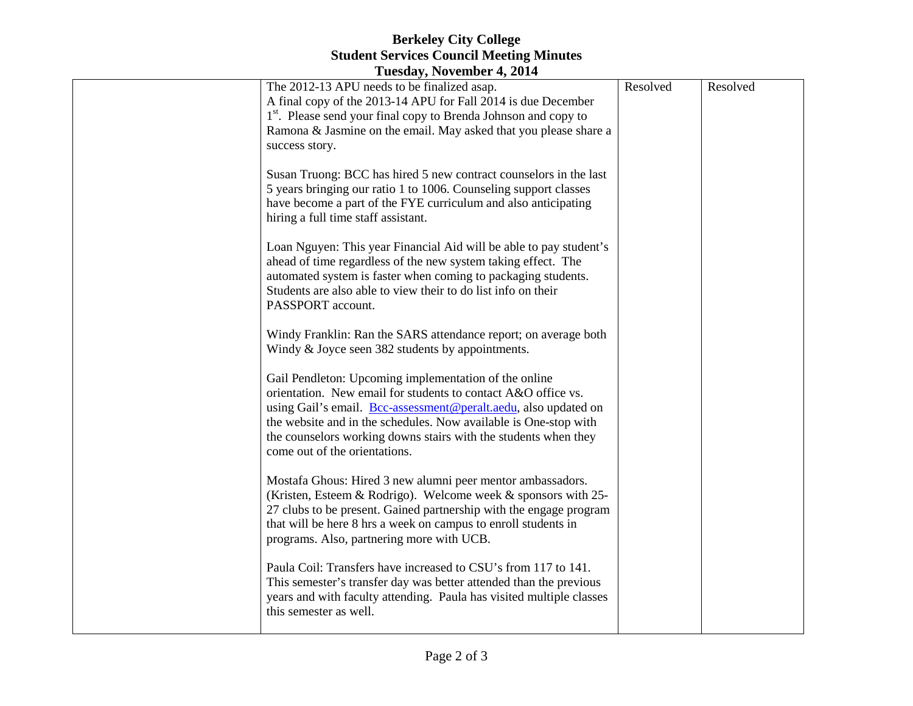## **Berkeley City College Student Services Council Meeting Minutes**

| Tuesday, November 4, 2014 |                                                                                                                                                                                                                                                                                                                                                                                                                                                                                                                                                                                                                                  |          |          |  |  |  |  |
|---------------------------|----------------------------------------------------------------------------------------------------------------------------------------------------------------------------------------------------------------------------------------------------------------------------------------------------------------------------------------------------------------------------------------------------------------------------------------------------------------------------------------------------------------------------------------------------------------------------------------------------------------------------------|----------|----------|--|--|--|--|
|                           | The 2012-13 APU needs to be finalized asap.<br>A final copy of the 2013-14 APU for Fall 2014 is due December<br>1 <sup>st</sup> . Please send your final copy to Brenda Johnson and copy to<br>Ramona & Jasmine on the email. May asked that you please share a<br>success story.<br>Susan Truong: BCC has hired 5 new contract counselors in the last<br>5 years bringing our ratio 1 to 1006. Counseling support classes<br>have become a part of the FYE curriculum and also anticipating<br>hiring a full time staff assistant.<br>Loan Nguyen: This year Financial Aid will be able to pay student's                        | Resolved | Resolved |  |  |  |  |
|                           | ahead of time regardless of the new system taking effect. The<br>automated system is faster when coming to packaging students.<br>Students are also able to view their to do list info on their<br>PASSPORT account.<br>Windy Franklin: Ran the SARS attendance report; on average both<br>Windy & Joyce seen 382 students by appointments.<br>Gail Pendleton: Upcoming implementation of the online<br>orientation. New email for students to contact A&O office vs.<br>using Gail's email. Bcc-assessment@peralt.aedu, also updated on                                                                                         |          |          |  |  |  |  |
|                           | the website and in the schedules. Now available is One-stop with<br>the counselors working downs stairs with the students when they<br>come out of the orientations.<br>Mostafa Ghous: Hired 3 new alumni peer mentor ambassadors.<br>(Kristen, Esteem & Rodrigo). Welcome week & sponsors with 25-<br>27 clubs to be present. Gained partnership with the engage program<br>that will be here 8 hrs a week on campus to enroll students in<br>programs. Also, partnering more with UCB.<br>Paula Coil: Transfers have increased to CSU's from 117 to 141.<br>This semester's transfer day was better attended than the previous |          |          |  |  |  |  |
|                           | years and with faculty attending. Paula has visited multiple classes<br>this semester as well.                                                                                                                                                                                                                                                                                                                                                                                                                                                                                                                                   |          |          |  |  |  |  |